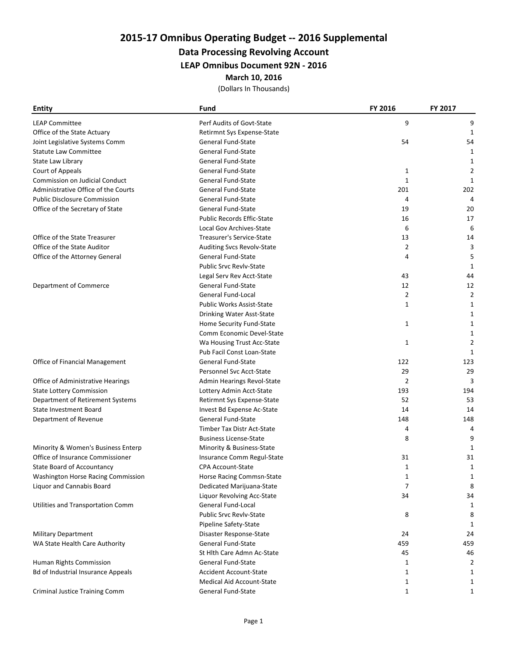# 2015-17 Omnibus Operating Budget -- 2016 Supplemental

## Data Processing Revolving Account

LEAP Omnibus Document 92N - 2016

March 10, 2016

(Dollars In Thousands)

| <b>Entity</b>                             | Fund                              | FY 2016        | FY 2017        |
|-------------------------------------------|-----------------------------------|----------------|----------------|
| <b>LEAP Committee</b>                     | Perf Audits of Govt-State         | 9              | 9              |
| Office of the State Actuary               | Retirmnt Sys Expense-State        |                | 1              |
| Joint Legislative Systems Comm            | General Fund-State                | 54             | 54             |
| <b>Statute Law Committee</b>              | <b>General Fund-State</b>         |                | 1              |
| State Law Library                         | General Fund-State                |                | 1              |
| Court of Appeals                          | <b>General Fund-State</b>         | $\mathbf{1}$   | $\overline{2}$ |
| Commission on Judicial Conduct            | <b>General Fund-State</b>         | 1              | 1              |
| Administrative Office of the Courts       | <b>General Fund-State</b>         | 201            | 202            |
| <b>Public Disclosure Commission</b>       | General Fund-State                | $\overline{4}$ | $\overline{4}$ |
| Office of the Secretary of State          | <b>General Fund-State</b>         | 19             | 20             |
|                                           | <b>Public Records Effic-State</b> | 16             | 17             |
|                                           | Local Gov Archives-State          | 6              | 6              |
| Office of the State Treasurer             | Treasurer's Service-State         | 13             | 14             |
| Office of the State Auditor               | Auditing Svcs Revolv-State        | $\overline{2}$ | 3              |
| Office of the Attorney General            | <b>General Fund-State</b>         | 4              | 5              |
|                                           | <b>Public Srvc Revlv-State</b>    |                | 1              |
|                                           | Legal Serv Rev Acct-State         | 43             | 44             |
| <b>Department of Commerce</b>             | <b>General Fund-State</b>         | 12             | 12             |
|                                           | General Fund-Local                | $\overline{2}$ | $\overline{2}$ |
|                                           | <b>Public Works Assist-State</b>  | 1              | 1              |
|                                           | Drinking Water Asst-State         |                | 1              |
|                                           | Home Security Fund-State          | $\mathbf{1}$   | 1              |
|                                           | <b>Comm Economic Devel-State</b>  |                | 1              |
|                                           | Wa Housing Trust Acc-State        | 1              | $\overline{2}$ |
|                                           | Pub Facil Const Loan-State        |                | 1              |
| Office of Financial Management            | <b>General Fund-State</b>         | 122            | 123            |
|                                           | Personnel Svc Acct-State          | 29             | 29             |
| Office of Administrative Hearings         | Admin Hearings Revol-State        | 2              | 3              |
| <b>State Lottery Commission</b>           | Lottery Admin Acct-State          | 193            | 194            |
| Department of Retirement Systems          | Retirmnt Sys Expense-State        | 52             | 53             |
| <b>State Investment Board</b>             | Invest Bd Expense Ac-State        | 14             | 14             |
| Department of Revenue                     | <b>General Fund-State</b>         | 148            | 148            |
|                                           | <b>Timber Tax Distr Act-State</b> | 4              | $\overline{4}$ |
|                                           | <b>Business License-State</b>     | 8              | 9              |
| Minority & Women's Business Enterp        | Minority & Business-State         |                | $\mathbf{1}$   |
| Office of Insurance Commissioner          | Insurance Comm Regul-State        | 31             | 31             |
| State Board of Accountancy                | <b>CPA Account-State</b>          | 1              | 1              |
| Washington Horse Racing Commission        | Horse Racing Commsn-State         | 1              | 1              |
| Liquor and Cannabis Board                 | Dedicated Marijuana-State         | 7              | 8              |
|                                           | Liquor Revolving Acc-State        | 34             | 34             |
| Utilities and Transportation Comm         | General Fund-Local                |                | 1              |
|                                           | <b>Public Srvc Revly-State</b>    | 8              | 8              |
|                                           | Pipeline Safety-State             |                | 1              |
| <b>Military Department</b>                | Disaster Response-State           | 24             | 24             |
| WA State Health Care Authority            | General Fund-State                | 459            | 459            |
|                                           | St Hlth Care Admn Ac-State        | 45             | 46             |
| Human Rights Commission                   | <b>General Fund-State</b>         | $\mathbf{1}$   | $\overline{2}$ |
| <b>Bd of Industrial Insurance Appeals</b> | <b>Accident Account-State</b>     | 1              | 1              |
|                                           | <b>Medical Aid Account-State</b>  | $\mathbf{1}$   | 1              |
| Criminal Justice Training Comm            | <b>General Fund-State</b>         | $\mathbf{1}$   | 1              |
|                                           |                                   |                |                |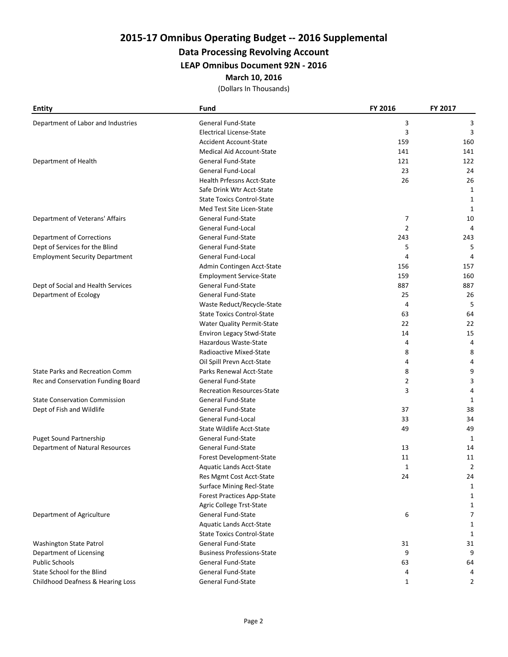# 2015-17 Omnibus Operating Budget -- 2016 Supplemental

## Data Processing Revolving Account

LEAP Omnibus Document 92N - 2016

March 10, 2016

(Dollars In Thousands)

| <b>Entity</b>                          | Fund                              | FY 2016        | FY 2017        |
|----------------------------------------|-----------------------------------|----------------|----------------|
| Department of Labor and Industries     | <b>General Fund-State</b>         | 3              | 3              |
|                                        | <b>Electrical License-State</b>   | 3              | 3              |
|                                        | <b>Accident Account-State</b>     | 159            | 160            |
|                                        | <b>Medical Aid Account-State</b>  | 141            | 141            |
| Department of Health                   | General Fund-State                | 121            | 122            |
|                                        | General Fund-Local                | 23             | 24             |
|                                        | Health Prfessns Acct-State        | 26             | 26             |
|                                        | Safe Drink Wtr Acct-State         |                | 1              |
|                                        | <b>State Toxics Control-State</b> |                | 1              |
|                                        | Med Test Site Licen-State         |                | 1              |
| Department of Veterans' Affairs        | <b>General Fund-State</b>         | 7              | 10             |
|                                        | <b>General Fund-Local</b>         | $\overline{2}$ | 4              |
| <b>Department of Corrections</b>       | <b>General Fund-State</b>         | 243            | 243            |
| Dept of Services for the Blind         | <b>General Fund-State</b>         | 5              | 5              |
| <b>Employment Security Department</b>  | General Fund-Local                | 4              | 4              |
|                                        | Admin Contingen Acct-State        | 156            | 157            |
|                                        | <b>Employment Service-State</b>   | 159            | 160            |
| Dept of Social and Health Services     | <b>General Fund-State</b>         | 887            | 887            |
| Department of Ecology                  | <b>General Fund-State</b>         | 25             | 26             |
|                                        | Waste Reduct/Recycle-State        | 4              | 5              |
|                                        | <b>State Toxics Control-State</b> | 63             | 64             |
|                                        | Water Quality Permit-State        | 22             | 22             |
|                                        | <b>Environ Legacy Stwd-State</b>  | 14             | 15             |
|                                        | Hazardous Waste-State             | 4              | 4              |
|                                        | Radioactive Mixed-State           | 8              | 8              |
|                                        | Oil Spill Prevn Acct-State        | 4              | 4              |
| State Parks and Recreation Comm        | Parks Renewal Acct-State          | 8              | 9              |
| Rec and Conservation Funding Board     | <b>General Fund-State</b>         | 2              | 3              |
|                                        | <b>Recreation Resources-State</b> | 3              | 4              |
| <b>State Conservation Commission</b>   | <b>General Fund-State</b>         |                | 1              |
| Dept of Fish and Wildlife              | General Fund-State                | 37             | 38             |
|                                        | General Fund-Local                | 33             | 34             |
|                                        | <b>State Wildlife Acct-State</b>  | 49             | 49             |
| <b>Puget Sound Partnership</b>         | <b>General Fund-State</b>         |                | 1              |
| <b>Department of Natural Resources</b> | <b>General Fund-State</b>         | 13             | 14             |
|                                        | Forest Development-State          | 11             | 11             |
|                                        | Aquatic Lands Acct-State          | $\mathbf{1}$   | $\overline{2}$ |
|                                        | Res Mgmt Cost Acct-State          | 24             | 24             |
|                                        | <b>Surface Mining Recl-State</b>  |                | 1              |
|                                        | <b>Forest Practices App-State</b> |                | 1              |
|                                        | Agric College Trst-State          |                | $\mathbf{1}$   |
| Department of Agriculture              | <b>General Fund-State</b>         | 6              | 7              |
|                                        | Aquatic Lands Acct-State          |                | $\mathbf{1}$   |
|                                        | <b>State Toxics Control-State</b> |                | 1              |
| Washington State Patrol                | <b>General Fund-State</b>         | 31             | 31             |
| Department of Licensing                | <b>Business Professions-State</b> | 9              | 9              |
| <b>Public Schools</b>                  | <b>General Fund-State</b>         | 63             | 64             |
| State School for the Blind             | <b>General Fund-State</b>         | 4              | 4              |
| Childhood Deafness & Hearing Loss      | General Fund-State                | $\mathbf{1}$   | 2              |